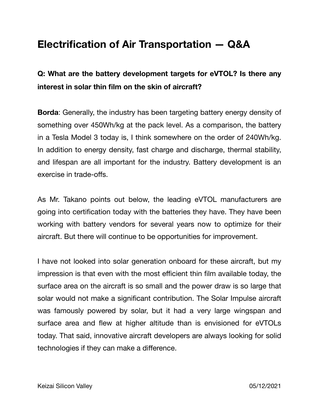## **Electrification of Air Transportation — Q&A**

## **Q: What are the battery development targets for eVTOL? Is there any interest in solar thin film on the skin of aircraft?**

**Borda**: Generally, the industry has been targeting battery energy density of something over 450Wh/kg at the pack level. As a comparison, the battery in a Tesla Model 3 today is, I think somewhere on the order of 240Wh/kg. In addition to energy density, fast charge and discharge, thermal stability, and lifespan are all important for the industry. Battery development is an exercise in trade-offs.

As Mr. Takano points out below, the leading eVTOL manufacturers are going into certification today with the batteries they have. They have been working with battery vendors for several years now to optimize for their aircraft. But there will continue to be opportunities for improvement.

I have not looked into solar generation onboard for these aircraft, but my impression is that even with the most efficient thin film available today, the surface area on the aircraft is so small and the power draw is so large that solar would not make a significant contribution. The Solar Impulse aircraft was famously powered by solar, but it had a very large wingspan and surface area and flew at higher altitude than is envisioned for eVTOLs today. That said, innovative aircraft developers are always looking for solid technologies if they can make a difference.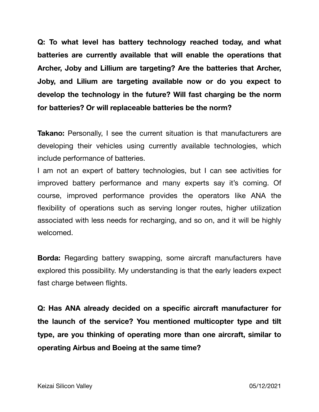**Q: To what level has battery technology reached today, and what batteries are currently available that will enable the operations that Archer, Joby and Lillium are targeting? Are the batteries that Archer, Joby, and Lilium are targeting available now or do you expect to develop the technology in the future? Will fast charging be the norm for batteries? Or will replaceable batteries be the norm?** 

**Takano:** Personally, I see the current situation is that manufacturers are developing their vehicles using currently available technologies, which include performance of batteries.

I am not an expert of battery technologies, but I can see activities for improved battery performance and many experts say it's coming. Of course, improved performance provides the operators like ANA the flexibility of operations such as serving longer routes, higher utilization associated with less needs for recharging, and so on, and it will be highly welcomed.

**Borda:** Regarding battery swapping, some aircraft manufacturers have explored this possibility. My understanding is that the early leaders expect fast charge between flights.

**Q: Has ANA already decided on a specific aircraft manufacturer for the launch of the service? You mentioned multicopter type and tilt type, are you thinking of operating more than one aircraft, similar to operating Airbus and Boeing at the same time?**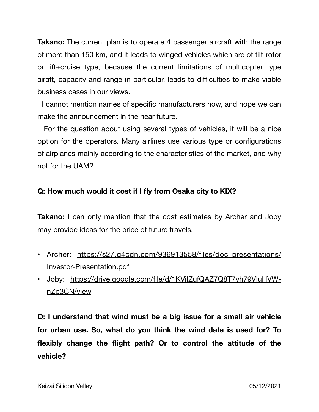**Takano:** The current plan is to operate 4 passenger aircraft with the range of more than 150 km, and it leads to winged vehicles which are of tilt-rotor or lift+cruise type, because the current limitations of multicopter type airaft, capacity and range in particular, leads to difficulties to make viable business cases in our views.

 I cannot mention names of specific manufacturers now, and hope we can make the announcement in the near future.

 For the question about using several types of vehicles, it will be a nice option for the operators. Many airlines use various type or configurations of airplanes mainly according to the characteristics of the market, and why not for the UAM?

## **Q: How much would it cost if I fly from Osaka city to KIX?**

**Takano:** I can only mention that the cost estimates by Archer and Joby may provide ideas for the price of future travels.

- Archer: [https://s27.q4cdn.com/936913558/files/doc\\_presentations/](https://s27.q4cdn.com/936913558/files/doc_presentations/Investor-Presentation.pdf) [Investor-Presentation.pdf](https://s27.q4cdn.com/936913558/files/doc_presentations/Investor-Presentation.pdf)
- Joby: [https://drive.google.com/file/d/1KViIZufQAZ7Q8T7vh79VIuHVW](https://drive.google.com/file/d/1KViIZufQAZ7Q8T7vh79VIuHVW-nZp3CN/view)[nZp3CN/view](https://drive.google.com/file/d/1KViIZufQAZ7Q8T7vh79VIuHVW-nZp3CN/view)

**Q: I understand that wind must be a big issue for a small air vehicle for urban use. So, what do you think the wind data is used for? To flexibly change the flight path? Or to control the attitude of the vehicle?**